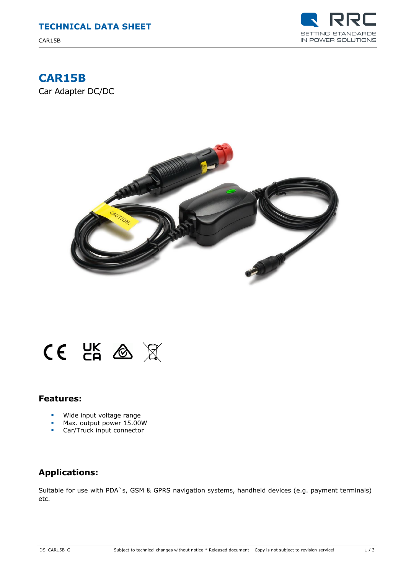

# **CAR15B**

Car Adapter DC/DC





### **Features:**

- Wide input voltage range
- Max. output power 15.00W<br>Car/Truck input connector
- Car/Truck input connector

### **Applications:**

Suitable for use with PDA`s, GSM & GPRS navigation systems, handheld devices (e.g. payment terminals) etc.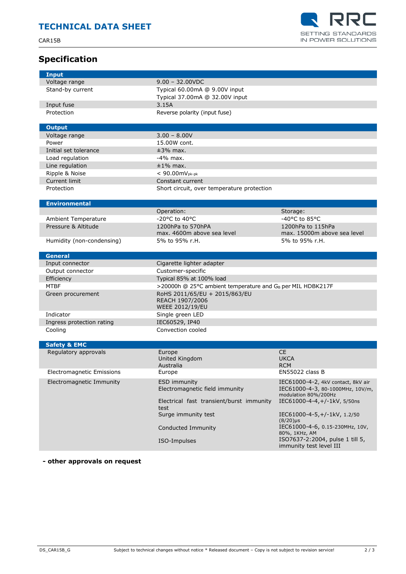CAR15B



## **Specification**

| <b>Input</b>                     |                                                                        |                                                  |
|----------------------------------|------------------------------------------------------------------------|--------------------------------------------------|
| Voltage range                    | $9.00 - 32.00$ VDC                                                     |                                                  |
| Stand-by current                 | Typical 60.00mA @ 9.00V input                                          |                                                  |
|                                  | Typical 37.00mA @ 32.00V input                                         |                                                  |
| Input fuse                       | 3.15A                                                                  |                                                  |
| Protection                       | Reverse polarity (input fuse)                                          |                                                  |
|                                  |                                                                        |                                                  |
| <b>Output</b>                    |                                                                        |                                                  |
| Voltage range                    | $3.00 - 8.00V$                                                         |                                                  |
| Power                            | 15.00W cont.                                                           |                                                  |
|                                  |                                                                        |                                                  |
| Initial set tolerance            | $±3%$ max.                                                             |                                                  |
| Load regulation                  | $-4\%$ max.                                                            |                                                  |
| Line regulation                  | $±1\%$ max.                                                            |                                                  |
| Ripple & Noise                   | $< 90.00$ m $V_{\text{pk-bk}}$                                         |                                                  |
| Current limit                    | Constant current                                                       |                                                  |
| Protection                       | Short circuit, over temperature protection                             |                                                  |
|                                  |                                                                        |                                                  |
| <b>Environmental</b>             |                                                                        |                                                  |
|                                  | Operation:                                                             | Storage:                                         |
| <b>Ambient Temperature</b>       | -20°C to 40°C                                                          | -40°C to 85°C                                    |
| Pressure & Altitude              | 1200hPa to 570hPA                                                      | 1200hPa to 115hPa                                |
|                                  | max. 4600m above sea level                                             | max. 15000m above sea level                      |
| Humidity (non-condensing)        | 5% to 95% r.H.                                                         | 5% to 95% r.H.                                   |
|                                  |                                                                        |                                                  |
| <b>General</b>                   |                                                                        |                                                  |
| Input connector                  | Cigarette lighter adapter                                              |                                                  |
| Output connector                 | Customer-specific                                                      |                                                  |
| Efficiency                       | Typical 85% at 100% load                                               |                                                  |
| <b>MTBF</b>                      | >20000h @ 25°C ambient temperature and G <sub>B</sub> per MIL HDBK217F |                                                  |
| Green procurement                | RoHS 2011/65/EU + 2015/863/EU                                          |                                                  |
|                                  | REACH 1907/2006                                                        |                                                  |
|                                  | <b>WEEE 2012/19/EU</b>                                                 |                                                  |
| Indicator                        | Single green LED                                                       |                                                  |
| Ingress protection rating        | IEC60529, IP40                                                         |                                                  |
| Cooling                          | Convection cooled                                                      |                                                  |
|                                  |                                                                        |                                                  |
| <b>Safety &amp; EMC</b>          |                                                                        |                                                  |
| Regulatory approvals             | Europe                                                                 | <b>CE</b>                                        |
|                                  | United Kingdom                                                         | <b>UKCA</b>                                      |
|                                  | Australia                                                              | <b>RCM</b>                                       |
| <b>Electromagnetic Emissions</b> | Europe                                                                 | <b>EN55022 class B</b>                           |
| Electromagnetic Immunity         | <b>ESD immunity</b>                                                    | IEC61000-4-2, 4kV contact, 8kV air               |
|                                  | Electromagnetic field immunity                                         | IEC61000-4-3, 80-1000MHz, 10V/m,                 |
|                                  |                                                                        | modulation 80%/200Hz                             |
|                                  | Electrical fast transient/burst immunity                               | IEC61000-4-4, +/-1kV, 5/50ns                     |
|                                  |                                                                        |                                                  |
|                                  | test                                                                   |                                                  |
|                                  | Surge immunity test                                                    | IEC61000-4-5, +/-1kV, 1.2/50                     |
|                                  |                                                                        | $(8/20)$ µs                                      |
|                                  | Conducted Immunity                                                     | IEC61000-4-6, 0.15-230MHz, 10V,                  |
|                                  | ISO-Impulses                                                           | 80%, 1KHz, AM<br>ISO7637-2:2004, pulse 1 till 5, |

**- other approvals on request**